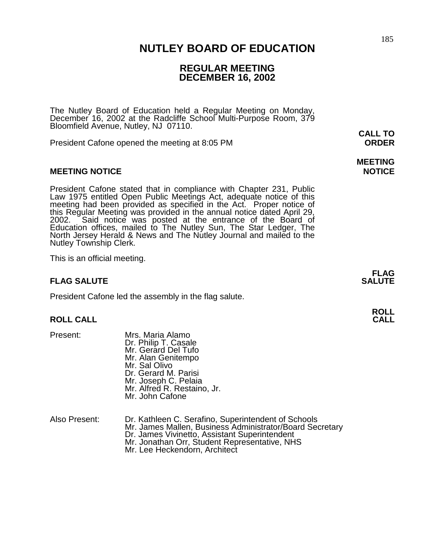## 185 **NUTLEY BOARD OF EDUCATION**

# **REGULAR MEETING DECEMBER 16, 2002**

The Nutley Board of Education held a Regular Meeting on Monday, December 16, 2002 at the Radcliffe School Multi-Purpose Room, 379 Bloomfield Avenue, Nutley, NJ 07110. **CALL TO** 

President Cafone opened the meeting at 8:05 PM **ORDER**

### **MEETING NOTICE NOTICE AND INCOMEDIATE**

President Cafone stated that in compliance with Chapter 231, Public Law 1975 entitled Open Public Meetings Act, adequate notice of this meeting had been provided as specified in the Act. Proper notice of this Regular Meeting was provided in the annual notice dated April 29, 2002. Said notice was posted at the entrance of the Board of Education offices, mailed to The Nutley Sun, The Star Ledger, The North Jersey Herald & News and The Nutley Journal and mailed to the Nutley Township Clerk.

This is an official meeting.

## **FLAG SALUTE** SALUTE SALUTE SALUTE SALUTE SALUTE SALUTE SALUTE SALUTE SALUTE SALUTE SALUTE SALUTE SALUTE SALUTE SALUTE SALUTE SALUTE SALUTE SALUTE SALUTE SALUTE SALUTE SALUTE SALUTE SALUTE SALUTE SALUTE SALUTE SALUTE SALUT

President Cafone led the assembly in the flag salute.

#### **ROLL CALL CALL**

- 
- Present: Mrs. Maria Alamo Dr. Philip T. Casale Mr. Gerard Del Tufo Mr. Alan Genitempo Mr. Sal Olivo Dr. Gerard M. Parisi Mr. Joseph C. Pelaia Mr. Alfred R. Restaino, Jr. Mr. John Cafone
- Also Present: Dr. Kathleen C. Serafino, Superintendent of Schools Mr. James Mallen, Business Administrator/Board Secretary<br>Dr. James Vivinetto, Assistant Superintendent<br>Mr. Jonathan Orr, Student Representative, NHS Mr. Lee Heckendorn, Architect

# **MEETING**

**FLAG** 

**ROLL**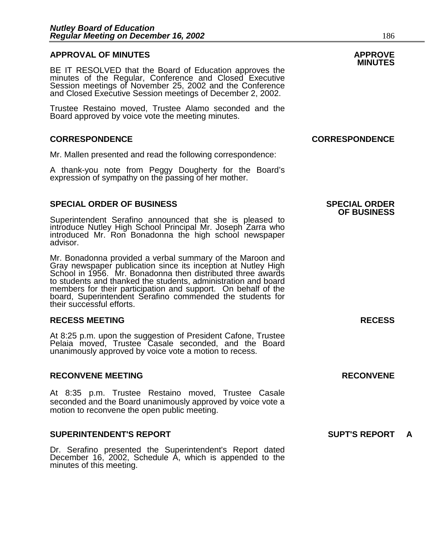### **APPROVAL OF MINUTES APPROVE**

**MINUTES** BE IT RESOLVED that the Board of Education approves the minutes of the Regular, Conference and Closed Executive Session meetings of November 25, 2002 and the Conference and Closed Executive Session meetings of December 2, 2002.

Trustee Restaino moved, Trustee Alamo seconded and the Board approved by voice vote the meeting minutes.

### **CORRESPONDENCE CORRESPONDENCE**

Mr. Mallen presented and read the following correspondence:

A thank-you note from Peggy Dougherty for the Board's expression of sympathy on the passing of her mother.

### **SPECIAL ORDER OF BUSINESS SPECIAL ORDER**

Superintendent Serafino announced that she is pleased to introduce Nutley High School Principal Mr. Joseph Zarra who introduced Mr. Ron Bonadonna the high school newspaper advisor.

Mr. Bonadonna provided a verbal summary of the Maroon and Gray newspaper publication since its inception at Nutley High School in 1956. Mr. Bonadonna then distributed three awards to students and thanked the students, administration and board members for their participation and support. On behalf of the board, Superintendent Serafino commended the students for their successful efforts.

#### **RECESS MEETING RECESS**

At 8:25 p.m. upon the suggestion of President Cafone, Trustee Pelaia moved, Trustee Casale seconded, and the Board unanimously approved by voice vote a motion to recess.

### **RECONVENE MEETING RECONVENE**

At 8:35 p.m. Trustee Restaino moved, Trustee Casale seconded and the Board unanimously approved by voice vote a motion to reconvene the open public meeting.

#### **SUPERINTENDENT'S REPORT SUPT'S REPORT A**

Dr. Serafino presented the Superintendent's Report dated December 16, 2002, Schedule A, which is appended to the minutes of this meeting.

# **OF BUSINESS**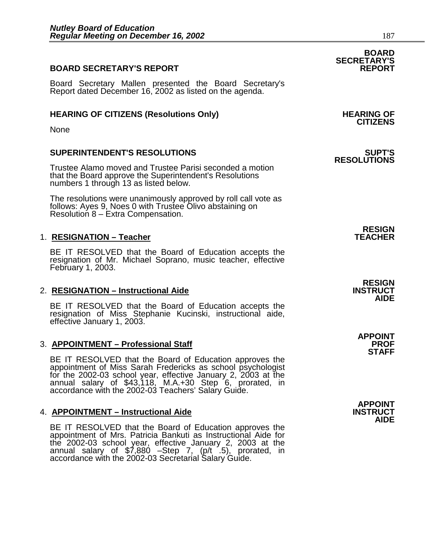# **BOARD SECRETARY'S REPORT**

Board Secretary Mallen presented the Board Secretary's Report dated December 16, 2002 as listed on the agenda.

# **HEARING OF CITIZENS (Resolutions Only) HEARING OF CITIZENS**

None

# **SUPERINTENDENT'S RESOLUTIONS SUPT'S**

Trustee Alamo moved and Trustee Parisi seconded a motion that the Board approve the Superintendent's Resolutions numbers 1 through 13 as listed below.

The resolutions were unanimously approved by roll call vote as follows: Ayes 9, Noes 0 with Trustee Olivo abstaining on Resolution 8 – Extra Compensation.

## 1. **RESIGNATION - Teacher**

BE IT RESOLVED that the Board of Education accepts the resignation of Mr. Michael Soprano, music teacher, effective February 1, 2003.

## **2. RESIGNATION – Instructional Aide**

BE IT RESOLVED that the Board of Education accepts the resignation of Miss Stephanie Kucinski, instructional aide, effective January 1, 2003.

## 3. **APPOINTMENT - Professional Staff**

BE IT RESOLVED that the Board of Education approves the appointment of Miss Sarah Fredericks as school psychologist for the 2002-03 school year, effective January 2, 2003 at the annual salary of \$43,118, M.A.+30 Step 6, prorated, in accordance with the 2002-03 Teachers' Salary Guide.

# 4. **APPOINTMENT – Instructional Aide**

BE IT RESOLVED that the Board of Education approves the appointment of Mrs. Patricia Bankuti as Instructional Aide for the 2002-03 school year, effective January 2, 2003 at the annual salary of \$7,880 –Step 7, (p/t .5), prorated, in accordance with the 2002-03 Secretarial Salary Guide.

# **RESOLUTIONS**

**RESIGN** 

**RESIGN** 

**AIDE** 

**APPOINT STAFF** 

**APPOINT AIDE** 

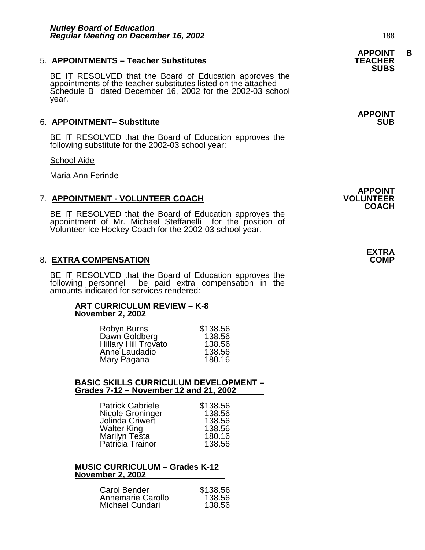# **APPOINT B** 5. **APPOINTMENTS – Teacher Substitutes TEACHER**

BE IT RESOLVED that the Board of Education approves the appointments of the teacher substitutes listed on the attached Schedule B dated December 16, 2002 for the 2002-03 school year.

## 6. APPOINTMENT- Substitute

BE IT RESOLVED that the Board of Education approves the following substitute for the 2002-03 school year:

#### School Aide

Maria Ann Ferinde

# **7. APPOINTMENT - VOLUNTEER COACH**

BE IT RESOLVED that the Board of Education approves the appointment of Mr. Michael Steffanelli for the position of Volunteer Ice Hockey Coach for the 2002-03 school year.

## 8. **EXTRA COMPENSATION**

BE IT RESOLVED that the Board of Education approves the following personnel be paid extra compensation in the amounts indicated for services rendered:

# **ART CURRICULUM REVIEW – K-8 November 2, 2002**

| Robyn Burns                 | \$138.56 |
|-----------------------------|----------|
| Dawn Goldberg               | 138.56   |
| <b>Hillary Hill Trovato</b> | 138.56   |
| Anne Laudadio               | 138.56   |
| Mary Pagana                 | 180.16   |

#### **BASIC SKILLS CURRICULUM DEVELOPMENT – Grades 7-12 – November 12 and 21, 2002**

| <b>Patrick Gabriele</b> | \$138.56 |
|-------------------------|----------|
| Nicole Groninger        | 138.56   |
| Jolinda Griwert         | 138.56   |
| <b>Walter King</b>      | 138.56   |
| Marilyn Testa           | 180.16   |
| Patricia Trainor        | 138.56   |

#### **MUSIC CURRICULUM – Grades K-12 November 2, 2002**

| Carol Bender      | \$138.56 |
|-------------------|----------|
| Annemarie Carollo | 138.56   |
| Michael Cundari   | 138.56   |

**APPOINT** 

**APPOINT COACH** 

# **SUBS**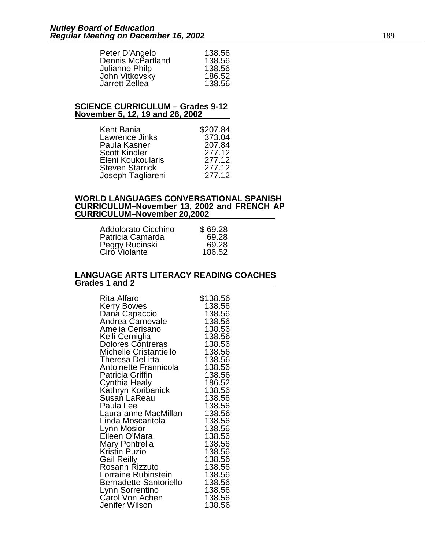| Peter D'Angelo    | 138.56 |
|-------------------|--------|
| Dennis McPartland | 138.56 |
| Julianne Philp    | 138.56 |
| John Vitkovsky    | 186.52 |
| Jarrett Zellea    | 138.56 |

#### **SCIENCE CURRICULUM – Grades 9-12 November 5, 12, 19 and 26, 2002**

| Kent Bania             | \$207.84 |
|------------------------|----------|
| Lawrence Jinks         | 373.04   |
| Paula Kasner           | 207.84   |
| <b>Scott Kindler</b>   | 277.12   |
| Eleni Koukoularis      | 277.12   |
| <b>Steven Starrick</b> | 277.12   |
| Joseph Tagliareni      | 277.12   |

#### **WORLD LANGUAGES CONVERSATIONAL SPANISH CURRICULUM–November 13, 2002 and FRENCH AP CURRICULUM–November 20,2002**

| Addolorato Cicchino | \$69.28 |
|---------------------|---------|
| Patricia Camarda    | 69.28   |
| Peggy Rucinski      | 69.28   |
| Ciro Violante       | 186.52  |

#### **LANGUAGE ARTS LITERACY READING COACHES Grades 1 and 2**

| Antoinette Frannicola<br>138.56<br>Patricia Griffin<br>138.56<br>Cynthia Healy<br>186.52<br>Kathryn Koribanick<br>138.56<br>Susań LaReau<br>138.56<br>138.56<br>Paula Lee<br>Laura-anne MacMillan<br>138.56<br>138.56<br>Linda Moscaritola<br>138.56<br>Lynn Mosior<br>Eileen O'Mara<br>138.56<br>138.56<br>Mary Pontrella<br>Kristin Puzio<br>138.56<br>Gail Reilly<br>138.56<br>Rosann Rizzuto<br>138.56<br>Lorraine Rubinstein<br>138.56<br>Bernadette Santoriello<br>138.56<br>Lynn Sorrentino<br>138.56<br>Carol Von Achen<br>138.56 | Rita Alfaro<br>Kerry Bowes<br>Dana Capaccio<br>Andrea Carnevale<br>Amelia Cerisano<br>Kelli Cerniglia<br><b>Dolores Contreras</b><br>Michelle Cristantiello<br>Theresa DeLitta | \$138.56<br>138.56<br>138.56<br>138.56<br>138.56<br>138.56<br>138.56<br>138.56<br>138.56 |
|-------------------------------------------------------------------------------------------------------------------------------------------------------------------------------------------------------------------------------------------------------------------------------------------------------------------------------------------------------------------------------------------------------------------------------------------------------------------------------------------------------------------------------------------|--------------------------------------------------------------------------------------------------------------------------------------------------------------------------------|------------------------------------------------------------------------------------------|
|                                                                                                                                                                                                                                                                                                                                                                                                                                                                                                                                           |                                                                                                                                                                                |                                                                                          |
|                                                                                                                                                                                                                                                                                                                                                                                                                                                                                                                                           |                                                                                                                                                                                |                                                                                          |
|                                                                                                                                                                                                                                                                                                                                                                                                                                                                                                                                           |                                                                                                                                                                                |                                                                                          |
|                                                                                                                                                                                                                                                                                                                                                                                                                                                                                                                                           |                                                                                                                                                                                |                                                                                          |
|                                                                                                                                                                                                                                                                                                                                                                                                                                                                                                                                           |                                                                                                                                                                                |                                                                                          |
|                                                                                                                                                                                                                                                                                                                                                                                                                                                                                                                                           |                                                                                                                                                                                |                                                                                          |
|                                                                                                                                                                                                                                                                                                                                                                                                                                                                                                                                           |                                                                                                                                                                                |                                                                                          |
|                                                                                                                                                                                                                                                                                                                                                                                                                                                                                                                                           |                                                                                                                                                                                |                                                                                          |
|                                                                                                                                                                                                                                                                                                                                                                                                                                                                                                                                           |                                                                                                                                                                                |                                                                                          |
|                                                                                                                                                                                                                                                                                                                                                                                                                                                                                                                                           |                                                                                                                                                                                |                                                                                          |
|                                                                                                                                                                                                                                                                                                                                                                                                                                                                                                                                           |                                                                                                                                                                                |                                                                                          |
|                                                                                                                                                                                                                                                                                                                                                                                                                                                                                                                                           |                                                                                                                                                                                |                                                                                          |
|                                                                                                                                                                                                                                                                                                                                                                                                                                                                                                                                           |                                                                                                                                                                                |                                                                                          |
|                                                                                                                                                                                                                                                                                                                                                                                                                                                                                                                                           |                                                                                                                                                                                |                                                                                          |
|                                                                                                                                                                                                                                                                                                                                                                                                                                                                                                                                           | Jenifer Wilson                                                                                                                                                                 | 138.56                                                                                   |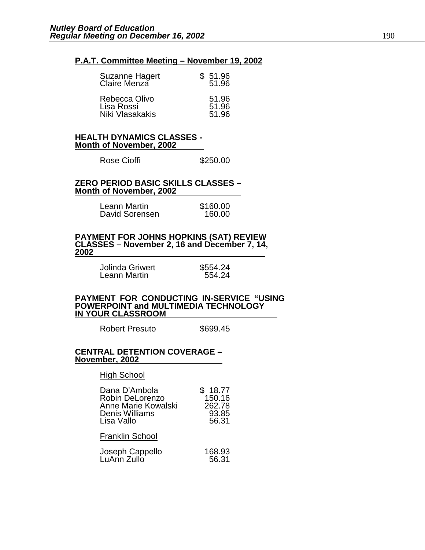#### **P.A.T. Committee Meeting – November 19, 2002**

| Suzanne Hagert<br>Claire Menza                 | \$51.96<br>51.96        |
|------------------------------------------------|-------------------------|
| Rebecca Olivo<br>Lisa Rossi<br>Niki Vlasakakis | 51.96<br>51.96<br>51.96 |

#### **HEALTH DYNAMICS CLASSES - Month of November, 2002**

| Rose Cioffi | \$250.00 |
|-------------|----------|
|-------------|----------|

#### **ZERO PERIOD BASIC SKILLS CLASSES – Month of November, 2002**

| Leann Martin   | \$160.00 |
|----------------|----------|
| David Sorensen | 160.00   |

# **PAYMENT FOR JOHNS HOPKINS (SAT) REVIEW CLASSES – November 2, 16 and December 7, 14, 2002**

| Jolinda Griwert | \$554.24 |
|-----------------|----------|
| Leann Martin    | 554.24   |
|                 |          |

#### **PAYMENT FOR CONDUCTING IN-SERVICE "USING POWERPOINT and MULTIMEDIA TECHNOLOGY IN YOUR CLASSROOM**

Robert Presuto \$699.45

#### **CENTRAL DETENTION COVERAGE – November, 2002**

#### High School

| Dana D'Ambola<br>Robin DeLorenzo<br>Anne Marie Kowalski<br>Denis Williams<br>Lisa Vallo | 18.77<br>150.16<br>262.78<br>93.85<br>56.31 |
|-----------------------------------------------------------------------------------------|---------------------------------------------|
| <b>Franklin School</b>                                                                  |                                             |
| المتحافظ والمتماط                                                                       | 100.OO                                      |

| Joseph Cappello | 168.93 |
|-----------------|--------|
| LuAnn Zullo     | 56.31  |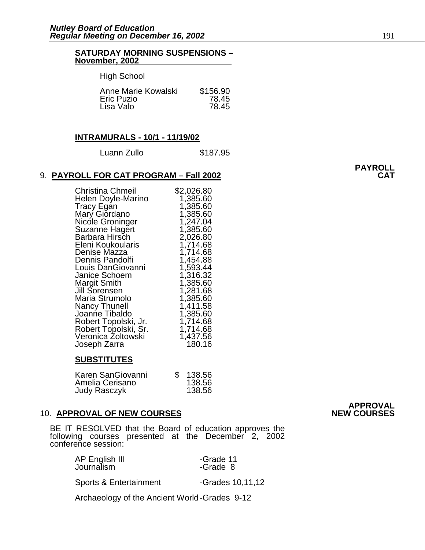#### **SATURDAY MORNING SUSPENSIONS – November, 2002**

#### High School

| Anne Marie Kowalski | \$156.90 |
|---------------------|----------|
| Eric Puzio          | 78.45    |
| Lisa Valo           | 78.45    |

#### **INTRAMURALS - 10/1 - 11/19/02**

| \$187.95 |
|----------|
|          |

#### 9. **PAYROLL FOR CAT PROGRAM - Fall 2002**

| <b>Christina Chmeil</b><br>Helen Doyle-Marino | \$2,026.80<br>1,385.60 |
|-----------------------------------------------|------------------------|
| Tracy Egan                                    | 1,385.60               |
| Mary Giordano                                 | 1,385.60               |
| Nicole Groninger                              | 1,247.04               |
| Suzanne Hagert                                | 1,385.60               |
| Barbara Hirsch                                | 2,026.80               |
| Eleni Koukoularis                             | 1,714.68               |
| Denise Mazza                                  | 1,714.68               |
| Dennis Pandolfi                               | 1,454.88               |
| Louis DanGiovanni                             | 1,593.44               |
| Janice Schoem                                 | 1,316.32               |
| <b>Margit Smith</b>                           | 1,385.60               |
| Jill Sorensen<br>Maria Strumolo               | 1,281.68<br>1,385.60   |
| <b>Nancy Thunell</b>                          | 1,411.58               |
| Joanne Tibaldo                                | 1,385.60               |
| Robert Topolski, Jr.                          | 1,714.68               |
| Robert Topolski, Sr.                          | 1,714.68               |
| Veronica Żoltowski                            | 1,437.56               |
| Joseph Zarra                                  | 180.16                 |

#### **SUBSTITUTES**

| Karen SanGiovanni   | 138.56 |
|---------------------|--------|
| Amelia Cerisano     | 138.56 |
| <b>Judy Rasczyk</b> | 138.56 |

# 10. **APPROVAL OF NEW COURSES**

BE IT RESOLVED that the Board of education approves the following courses presented at the December 2, 2002 conference session:

| AP English III | -Grade 11 |
|----------------|-----------|
| Journalism     | -Grade 8  |

Sports & Entertainment -Grades 10,11,12

Archaeology of the Ancient World -Grades 9-12

# **APPROVAL**

# **PAYROLL**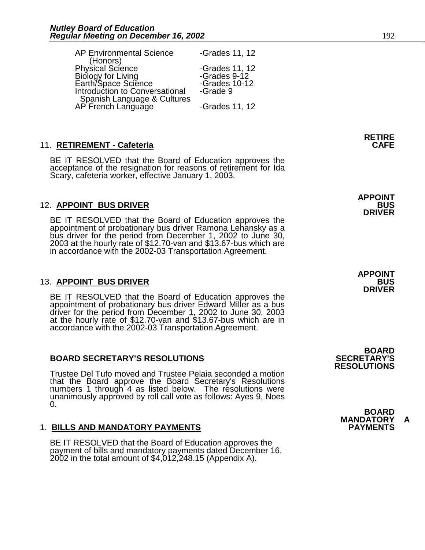| <b>AP Environmental Science</b>                   | -Grades 11, 12 |
|---------------------------------------------------|----------------|
| (Honors)<br>Physical Science                      |                |
|                                                   | -Grades 11, 12 |
|                                                   | -Grades $9-12$ |
| Biology for Living<br>Earth/Space Science         | -Grades 10-12  |
| Introduction to Conversational                    | -Grade 9       |
| Spanish Language & Cultures<br>AP French Language | -Grades 11, 12 |

# 11. **RETIREMENT - Cafeteria**

BE IT RESOLVED that the Board of Education approves the acceptance of the resignation for reasons of retirement for Ida Scary, cafeteria worker, effective January 1, 2003.

# 12. **APPOINT BUS DRIVER BUS**

BE IT RESOLVED that the Board of Education approves the appointment of probationary bus driver Ramona Lehansky as a bus driver for the period from December 1, 2002 to June 30, 2003 at the hourly rate of \$12.70-van and \$13.67-bus which are in accordance with the 2002-03 Transportation Agreement.

# 13. **APPOINT BUS DRIVER**

BE IT RESOLVED that the Board of Education approves the appointment of probationary bus driver Edward Miller as a bus driver for the period from December 1, 2002 to June 30, 2003 at the hourly rate of \$12.70-van and \$13.67-bus which are in accordance with the 2002-03 Transportation Agreement.

## **BOARD SECRETARY'S RESOLUTIONS SECRETARY'S**

Trustee Del Tufo moved and Trustee Pelaia seconded a motion that the Board approve the Board Secretary's Resolutions numbers 1 through 4 as listed below. The resolutions were unanimously approved by roll call vote as follows: Ayes 9, Noes 0.

# 1. **BILLS AND MANDATORY PAYMENTS PAYMENTS**

BE IT RESOLVED that the Board of Education approves the payment of bills and mandatory payments dated December 16, 2002 in the total amount of \$4,012,248.15 (Appendix A).

 **APPOINT DRIVER** 

> **APPOINT DRIVER**

 **BOARD RESOLUTIONS** 

 **BOARD MANDATORY A**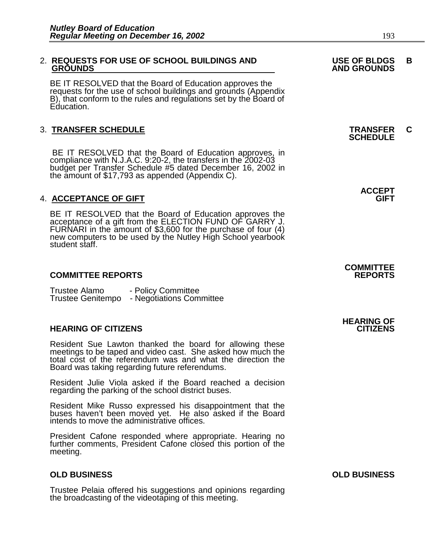# 2. **REQUESTS FOR USE OF SCHOOL BUILDINGS AND USE OF BLDGS B**

BE IT RESOLVED that the Board of Education approves the requests for the use of school buildings and grounds (Appendix B), that conform to the rules and regulations set by the Board of Education.

# 3. **TRANSFER SCHEDULE TRANSFER C SCHEDULE**

 BE IT RESOLVED that the Board of Education approves, in compliance with N.J.A.C. 9:20-2, the transfers in the 2002-03 budget per Transfer Schedule #5 dated December 16, 2002 in the amount of \$17,793 as appended (Appendix C).

## 4. **ACCEPTANCE OF GIFT GIFT**

BE IT RESOLVED that the Board of Education approves the acceptance of a gift from the ELECTION FUND OF GARRY J. FURNARI in the amount of \$3,600 for the purchase of four (4) new computers to be used by the Nutley High School yearbook student staff.

## **COMMITTEE REPORTS REPORTS**

Trustee Alamo - Policy Committee Trustee Genitempo - Negotiations Committee

## **HEARING OF CITIZENS CITIZENS**

Resident Sue Lawton thanked the board for allowing these meetings to be taped and video cast. She asked how much the total cost of the referendum was and what the direction the Board was taking regarding future referendums.

Resident Julie Viola asked if the Board reached a decision regarding the parking of the school district buses.

Resident Mike Russo expressed his disappointment that the buses haven't been moved yet. He also asked if the Board intends to move the administrative offices.

President Cafone responded where appropriate. Hearing no further comments, President Cafone closed this portion of the meeting.

## **OLD BUSINESS OLD BUSINESS**

Trustee Pelaia offered his suggestions and opinions regarding the broadcasting of the videotaping of this meeting.

**ACCEPT** 

# **COMMITTEE**

**HEARING OF**